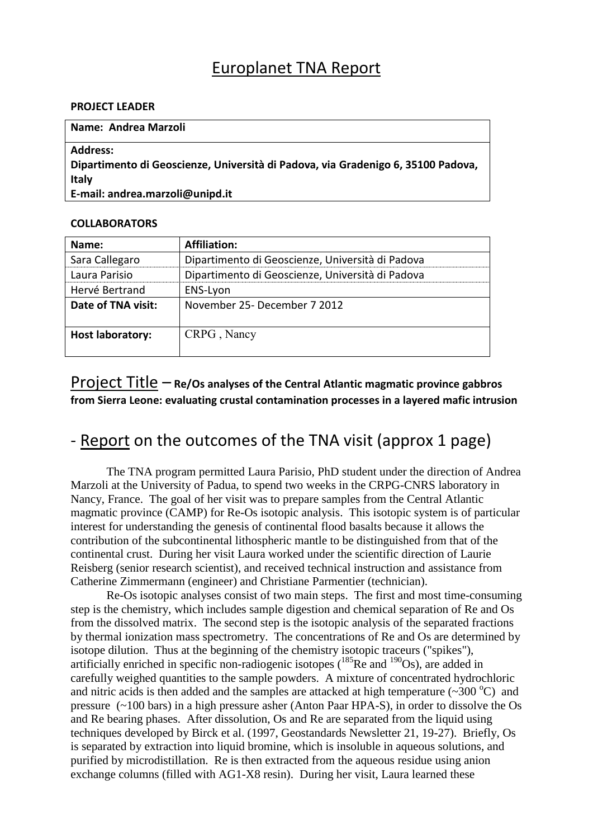## Europlanet TNA Report

#### **PROJECT LEADER**

### **Name: Andrea Marzoli Address: Dipartimento di Geoscienze, Università di Padova, via Gradenigo 6, 35100 Padova, Italy E-mail: andrea.marzoli@unipd.it**

### **COLLABORATORS**

| Name:                   | <b>Affiliation:</b>                              |
|-------------------------|--------------------------------------------------|
| Sara Callegaro          | Dipartimento di Geoscienze, Università di Padova |
| Laura Parisio           | Dipartimento di Geoscienze, Università di Padova |
| Hervé Bertrand          | ENS-Lyon                                         |
| Date of TNA visit:      | November 25- December 7 2012                     |
| <b>Host laboratory:</b> | CRPG, Nancy                                      |

Project Title – **Re/Os analyses of the Central Atlantic magmatic province gabbros from Sierra Leone: evaluating crustal contamination processes in a layered mafic intrusion**

# - Report on the outcomes of the TNA visit (approx 1 page)

The TNA program permitted Laura Parisio, PhD student under the direction of Andrea Marzoli at the University of Padua, to spend two weeks in the CRPG-CNRS laboratory in Nancy, France. The goal of her visit was to prepare samples from the Central Atlantic magmatic province (CAMP) for Re-Os isotopic analysis. This isotopic system is of particular interest for understanding the genesis of continental flood basalts because it allows the contribution of the subcontinental lithospheric mantle to be distinguished from that of the continental crust. During her visit Laura worked under the scientific direction of Laurie Reisberg (senior research scientist), and received technical instruction and assistance from Catherine Zimmermann (engineer) and Christiane Parmentier (technician).

Re-Os isotopic analyses consist of two main steps. The first and most time-consuming step is the chemistry, which includes sample digestion and chemical separation of Re and Os from the dissolved matrix. The second step is the isotopic analysis of the separated fractions by thermal ionization mass spectrometry. The concentrations of Re and Os are determined by isotope dilution. Thus at the beginning of the chemistry isotopic traceurs ("spikes"), artificially enriched in specific non-radiogenic isotopes  $(^{185}$ Re and  $^{190}$ Os), are added in carefully weighed quantities to the sample powders. A mixture of concentrated hydrochloric and nitric acids is then added and the samples are attacked at high temperature  $(\sim 300 \degree C)$  and pressure (~100 bars) in a high pressure asher (Anton Paar HPA-S), in order to dissolve the Os and Re bearing phases. After dissolution, Os and Re are separated from the liquid using techniques developed by Birck et al. (1997, Geostandards Newsletter 21, 19-27). Briefly, Os is separated by extraction into liquid bromine, which is insoluble in aqueous solutions, and purified by microdistillation. Re is then extracted from the aqueous residue using anion exchange columns (filled with AG1-X8 resin). During her visit, Laura learned these